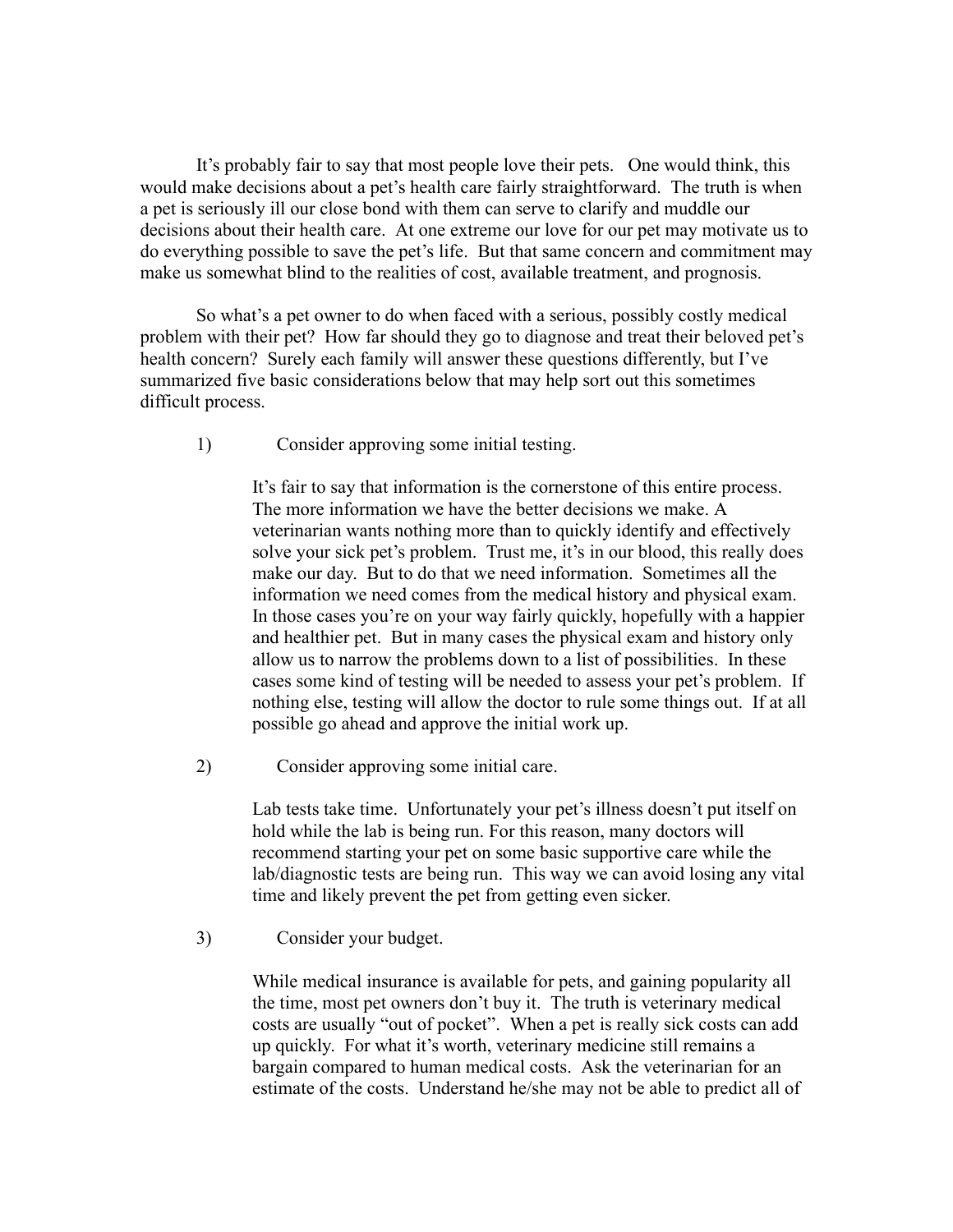It's probably fair to say that most people love their pets. One would think, this would make decisions about a pet's health care fairly straightforward. The truth is when a pet is seriously ill our close bond with them can serve to clarify and muddle our decisions about their health care. At one extreme our love for our pet may motivate us to do everything possible to save the pet's life. But that same concern and commitment may make us somewhat blind to the realities of cost, available treatment, and prognosis.

So what's a pet owner to do when faced with a serious, possibly costly medical problem with their pet? How far should they go to diagnose and treat their beloved pet's health concern? Surely each family will answer these questions differently, but I've summarized five basic considerations below that may help sort out this sometimes difficult process.

1) Consider approving some initial testing.

It's fair to say that information is the cornerstone of this entire process. The more information we have the better decisions we make. A veterinarian wants nothing more than to quickly identify and effectively solve your sick pet's problem. Trust me, it's in our blood, this really does make our day. But to do that we need information. Sometimes all the information we need comes from the medical history and physical exam. In those cases you're on your way fairly quickly, hopefully with a happier and healthier pet. But in many cases the physical exam and history only allow us to narrow the problems down to a list of possibilities. In these cases some kind of testing will be needed to assess your pet's problem. If nothing else, testing will allow the doctor to rule some things out. If at all possible go ahead and approve the initial work up.

2) Consider approving some initial care.

Lab tests take time. Unfortunately your pet's illness doesn't put itself on hold while the lab is being run. For this reason, many doctors will recommend starting your pet on some basic supportive care while the lab/diagnostic tests are being run. This way we can avoid losing any vital time and likely prevent the pet from getting even sicker.

3) Consider your budget.

While medical insurance is available for pets, and gaining popularity all the time, most pet owners don't buy it. The truth is veterinary medical costs are usually "out of pocket". When a pet is really sick costs can add up quickly. For what it's worth, veterinary medicine still remains a bargain compared to human medical costs. Ask the veterinarian for an estimate of the costs. Understand he/she may not be able to predict all of